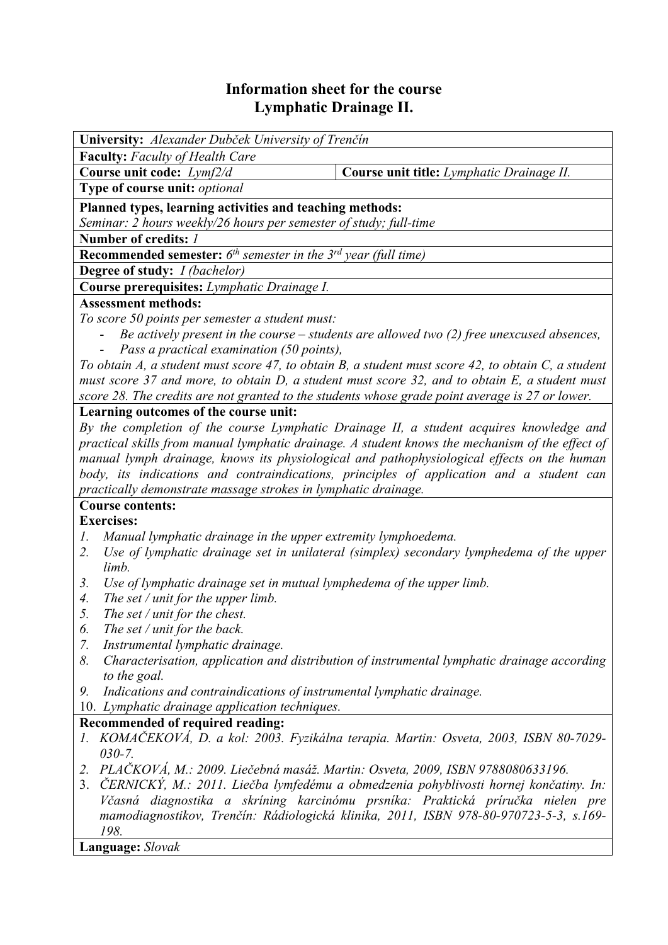## **Information sheet for the course Lymphatic Drainage II.**

| University: Alexander Dubček University of Trenčín                                                                                                                           |                                                                                               |  |  |  |  |  |
|------------------------------------------------------------------------------------------------------------------------------------------------------------------------------|-----------------------------------------------------------------------------------------------|--|--|--|--|--|
| <b>Faculty:</b> Faculty of Health Care                                                                                                                                       |                                                                                               |  |  |  |  |  |
| Course unit code: Lymf2/d                                                                                                                                                    | Course unit title: Lymphatic Drainage II.                                                     |  |  |  |  |  |
| Type of course unit: optional                                                                                                                                                |                                                                                               |  |  |  |  |  |
| Planned types, learning activities and teaching methods:                                                                                                                     |                                                                                               |  |  |  |  |  |
| Seminar: 2 hours weekly/26 hours per semester of study; full-time                                                                                                            |                                                                                               |  |  |  |  |  |
| Number of credits: 1                                                                                                                                                         |                                                                                               |  |  |  |  |  |
| <b>Recommended semester:</b> $6th$ semester in the $3rd$ year (full time)                                                                                                    |                                                                                               |  |  |  |  |  |
| Degree of study: <i>I (bachelor)</i>                                                                                                                                         |                                                                                               |  |  |  |  |  |
| Course prerequisites: Lymphatic Drainage I.                                                                                                                                  |                                                                                               |  |  |  |  |  |
| <b>Assessment methods:</b>                                                                                                                                                   |                                                                                               |  |  |  |  |  |
| To score 50 points per semester a student must:                                                                                                                              |                                                                                               |  |  |  |  |  |
| Be actively present in the course $-$ students are allowed two (2) free unexcused absences,                                                                                  |                                                                                               |  |  |  |  |  |
| Pass a practical examination (50 points),                                                                                                                                    |                                                                                               |  |  |  |  |  |
| To obtain A, a student must score 47, to obtain B, a student must score 42, to obtain C, a student                                                                           |                                                                                               |  |  |  |  |  |
|                                                                                                                                                                              | must score 37 and more, to obtain D, a student must score 32, and to obtain E, a student must |  |  |  |  |  |
| score 28. The credits are not granted to the students whose grade point average is 27 or lower.                                                                              |                                                                                               |  |  |  |  |  |
| Learning outcomes of the course unit:                                                                                                                                        |                                                                                               |  |  |  |  |  |
|                                                                                                                                                                              | By the completion of the course Lymphatic Drainage II, a student acquires knowledge and       |  |  |  |  |  |
| practical skills from manual lymphatic drainage. A student knows the mechanism of the effect of                                                                              |                                                                                               |  |  |  |  |  |
| manual lymph drainage, knows its physiological and pathophysiological effects on the human                                                                                   |                                                                                               |  |  |  |  |  |
| body, its indications and contraindications, principles of application and a student can                                                                                     |                                                                                               |  |  |  |  |  |
| practically demonstrate massage strokes in lymphatic drainage.                                                                                                               |                                                                                               |  |  |  |  |  |
| <b>Course contents:</b>                                                                                                                                                      |                                                                                               |  |  |  |  |  |
| <b>Exercises:</b>                                                                                                                                                            |                                                                                               |  |  |  |  |  |
| Manual lymphatic drainage in the upper extremity lymphoedema.<br>1.                                                                                                          |                                                                                               |  |  |  |  |  |
| Use of lymphatic drainage set in unilateral (simplex) secondary lymphedema of the upper<br>2.                                                                                |                                                                                               |  |  |  |  |  |
| limb.                                                                                                                                                                        |                                                                                               |  |  |  |  |  |
| Use of lymphatic drainage set in mutual lymphedema of the upper limb.<br>3.                                                                                                  |                                                                                               |  |  |  |  |  |
| The set / unit for the upper limb.<br>$\mathcal{A}_{\cdot}$                                                                                                                  |                                                                                               |  |  |  |  |  |
| 5.<br>The set / unit for the chest.                                                                                                                                          |                                                                                               |  |  |  |  |  |
| The set / unit for the back.<br>6.                                                                                                                                           |                                                                                               |  |  |  |  |  |
| Instrumental lymphatic drainage.<br>7.                                                                                                                                       |                                                                                               |  |  |  |  |  |
| 8.<br>Characterisation, application and distribution of instrumental lymphatic drainage according                                                                            |                                                                                               |  |  |  |  |  |
| to the goal.                                                                                                                                                                 |                                                                                               |  |  |  |  |  |
| 9.                                                                                                                                                                           | Indications and contraindications of instrumental lymphatic drainage.                         |  |  |  |  |  |
| 10. Lymphatic drainage application techniques.                                                                                                                               |                                                                                               |  |  |  |  |  |
| Recommended of required reading:                                                                                                                                             |                                                                                               |  |  |  |  |  |
| KOMAČEKOVÁ, D. a kol: 2003. Fyzikálna terapia. Martin: Osveta, 2003, ISBN 80-7029-                                                                                           |                                                                                               |  |  |  |  |  |
| $030 - 7.$                                                                                                                                                                   |                                                                                               |  |  |  |  |  |
| PLAČKOVÁ, M.: 2009. Liečebná masáž. Martin: Osveta, 2009, ISBN 9788080633196.<br>2.                                                                                          |                                                                                               |  |  |  |  |  |
| ČERNICKÝ, M.: 2011. Liečba lymfedému a obmedzenia pohyblivosti hornej končatiny. In:<br>3.<br>Včasná diagnostika a skríning karcinómu prsníka: Praktická príručka nielen pre |                                                                                               |  |  |  |  |  |
| mamodiagnostikov, Trenčín: Rádiologická klinika, 2011, ISBN 978-80-970723-5-3, s.169-                                                                                        |                                                                                               |  |  |  |  |  |

*198.* **Language:** *Slovak*